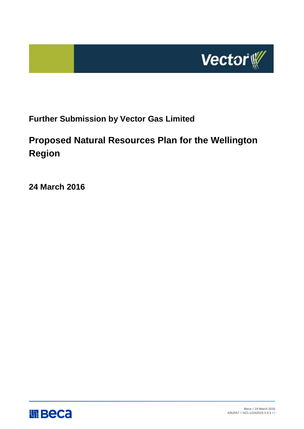

## **Further Submission by Vector Gas Limited**

## **Proposed Natural Resources Plan for the Wellington Region**

**24 March 2016**

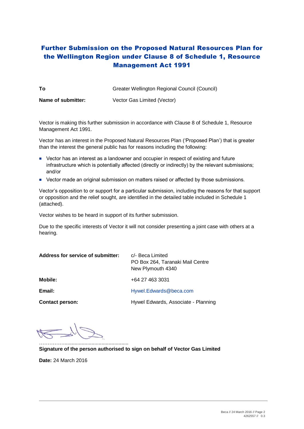## Further Submission on the Proposed Natural Resources Plan for the Wellington Region under Clause [8](http://www.legislation.govt.nz/regulation/public/2003/0153/latest/link.aspx?id=DLM241221) of Schedule 1, Resource Management Act 1991

| То                 | Greater Wellington Regional Council (Council) |
|--------------------|-----------------------------------------------|
| Name of submitter: | Vector Gas Limited (Vector)                   |

Vector is making this further submission in accordance with Clause [8](http://www.legislation.govt.nz/regulation/public/2003/0153/latest/link.aspx?id=DLM241221) of Schedule 1, Resource Management Act 1991.

Vector has an interest in the Proposed Natural Resources Plan ('Proposed Plan') that is greater than the interest the general public has for reasons including the following:

- Vector has an interest as a landowner and occupier in respect of existing and future infrastructure which is potentially affected (directly or indirectly) by the relevant submissions; and/or
- Vector made an original submission on matters raised or affected by those submissions.

Vector's opposition to or support for a particular submission, including the reasons for that support or opposition and the relief sought, are identified in the detailed table included in Schedule 1 (attached).

Vector wishes to be heard in support of its further submission.

Due to the specific interests of Vector it will not consider presenting a joint case with others at a hearing.

| Address for service of submitter: | c/- Beca Limited<br>PO Box 264, Taranaki Mail Centre<br>New Plymouth 4340 |
|-----------------------------------|---------------------------------------------------------------------------|
| Mobile:                           | +64 27 463 3031                                                           |
| Email:                            | Hywel.Edwards@beca.com                                                    |
| <b>Contact person:</b>            | Hywel Edwards, Associate - Planning                                       |

…………………………………………………………

**Signature of the person authorised to sign on behalf of Vector Gas Limited**

**Date:** 24 March 2016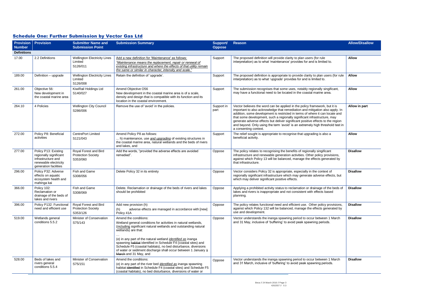|  | <b>Schedule One: Further Submission by Vector Gas Ltd</b> |  |  |
|--|-----------------------------------------------------------|--|--|
|  |                                                           |  |  |

| <b>Number</b>      | <b>Provision Provision</b>                                                                                             | <b>Submitter Name and</b><br><b>Submission Point</b>           | <b>Submission Summary</b>                                                                                                                                                                                                                                                                                                                                                                                                                                                                                                                                                                | <b>Support/</b><br><b>Oppose</b> | <b>Reason</b>                                                                                                                                                                                                                                                 | <b>Allow/Disallow</b> |
|--------------------|------------------------------------------------------------------------------------------------------------------------|----------------------------------------------------------------|------------------------------------------------------------------------------------------------------------------------------------------------------------------------------------------------------------------------------------------------------------------------------------------------------------------------------------------------------------------------------------------------------------------------------------------------------------------------------------------------------------------------------------------------------------------------------------------|----------------------------------|---------------------------------------------------------------------------------------------------------------------------------------------------------------------------------------------------------------------------------------------------------------|-----------------------|
| <b>Definitions</b> |                                                                                                                        |                                                                |                                                                                                                                                                                                                                                                                                                                                                                                                                                                                                                                                                                          |                                  |                                                                                                                                                                                                                                                               |                       |
| 17.00              | 2.2 Definitions                                                                                                        | <b>Wellington Electricity Lines</b><br>Limited                 | Add a new definition for 'Maintenance' as follows:<br>"Maintenance means the replacement, repair or renewal of                                                                                                                                                                                                                                                                                                                                                                                                                                                                           | Support                          | The proposed definition will provide clarity to plan users (for rule<br>interpretation) as to what 'maintenance' provides for and is limited to.                                                                                                              | <b>Allow</b>          |
|                    |                                                                                                                        | S126/011                                                       | existing infrastructure and where the effects of that utility remain<br>the same or similar in character, intensity and scale."                                                                                                                                                                                                                                                                                                                                                                                                                                                          |                                  |                                                                                                                                                                                                                                                               |                       |
| 189.00             | Definition - upgrade                                                                                                   | <b>Wellington Electricity Lines</b><br>Limited<br>S126/008     | Retain the definition of 'upgrade'.                                                                                                                                                                                                                                                                                                                                                                                                                                                                                                                                                      | Support                          | The proposed definition is appropriate to provide clarity to plan users (for rule<br>interpretation) as to what 'upgrade' provides for and is limited to.                                                                                                     | <b>Allow</b>          |
| 261.00             | Objective 56:                                                                                                          | KiwiRail Holdings Ltd                                          | Amend Objective O56                                                                                                                                                                                                                                                                                                                                                                                                                                                                                                                                                                      | Support                          | The submission recognises that some uses, notably regionally singificant,                                                                                                                                                                                     | <b>Allow</b>          |
|                    | New development in<br>the coastal marine area                                                                          | S140/027                                                       | New development in the coastal marine area is of a scale,<br>density and design that is compatible with its function and its<br>location in the coastal environment.                                                                                                                                                                                                                                                                                                                                                                                                                     |                                  | may have a functional need to be located in the coastal marine area.                                                                                                                                                                                          |                       |
| 264.10             | 4 Policies                                                                                                             | <b>Wellington City Council</b><br>S286/006                     | Remove the use of 'avoid' in the policies.<br>Vector believes the word can be applied in the policy framework, but it is<br>Support in<br>important to also acknowledge that remediation and mitigation also apply. In<br>part<br>addition, some development is restricted in terms of where it can locate and<br>that some development, such a regionally significant infrastructure, may<br>generate adverse effects but deliver significant positive effects to the region<br>and beyond. Only using the term 'avoid' is an extremely high threshold test in<br>a consenting context. |                                  | Allow in part                                                                                                                                                                                                                                                 |                       |
| 272.00             | Policy P8: Beneficial<br>activities                                                                                    | <b>CentrePort Limited</b><br>S121/043                          | Amend Policy P8 as follows:<br>The relief sought is appropriate to recognise that upgrading is also a<br>Support<br>beneficial activity.<br>h) maintenance, use <i>and upgrading</i> of existing structures in<br>the coastal marine area, natural wetlands and the beds of rivers<br>and lakes, and                                                                                                                                                                                                                                                                                     |                                  | <b>Allow</b>                                                                                                                                                                                                                                                  |                       |
| 277.00             | Policy P13: Existing<br>regionally significant<br>infrastructure and<br>renewable electricity<br>generation facilities | Royal Forest and Bird<br><b>Protection Society</b><br>S353/060 | Add the words, "provided the adverse effects are avoided<br>remedied".                                                                                                                                                                                                                                                                                                                                                                                                                                                                                                                   | Oppose                           | The policy relates to recognising the benefits of regionally singificant<br>infrastructure and renewable generation activities. Other policy provisions,<br>against which Policy 13 will be balanced, manage the effects generated by<br>that infrastructure. | <b>Disallow</b>       |
| 296.00             | Policy P32: Adverse<br>effects on aquatic<br>ecosystem health and<br>mahinga kai                                       | Fish and Game<br>S308/056                                      | Delete Policy 32 in its entirety                                                                                                                                                                                                                                                                                                                                                                                                                                                                                                                                                         | Oppose                           | Vector considers Policy 32 is appropriate, especially in the context of<br>regionally significant infrastructure which may generate adverse effects, but<br>which may deliver significant positive effects.                                                   | <b>Disallow</b>       |
| 366.00             | Policy 102:<br>Reclamation or<br>drainage of the beds of<br>lakes and rivers                                           | Fish and Game<br>S308/069                                      | Delete. Reclamation or drainage of the beds of rivers and lakes<br>should be prohibited                                                                                                                                                                                                                                                                                                                                                                                                                                                                                                  | Oppose                           | Applying a prohibited activity status to reclamation or drainage of the beds of<br>lakes and rivers is inappropriate and not consistent with effects based<br>planning.                                                                                       | <b>Disallow</b>       |
| 396.00             | Policy P132: Functional<br>need and efficient use                                                                      | Royal Forest and Bird<br><b>Protection Society</b><br>S353/126 | Add new provision (h)<br>adverse effects are managed in accordance with [new]<br>(h)<br>Policy 41A                                                                                                                                                                                                                                                                                                                                                                                                                                                                                       | Oppose                           | The policy relates functional need and efficient use. Other policy provisions,<br>against which Policy 132 will be balanced, manage the effects generated by<br>use and development.                                                                          | <b>Disallow</b>       |
| 519.00             | Wetlands general<br>conditions 5.5.2                                                                                   | Minister of Conservation<br>S75/143                            | Amend the conditions:<br>Wetland general conditions for activities in natural wetlands,<br>(including significant natural wetlands and outstanding natural<br>wetlands) are that:<br>(e) in any part of the natural wetland <i>identified as</i> inanga<br>spawning habitat identified in Schedule F4 (coastal sites) and                                                                                                                                                                                                                                                                | Oppose                           | Vector understands the inanga spawning period to occur between 1 March<br>and 31 May, inclusive of 'buffering' to avoid peak spawning periods.                                                                                                                | <b>Disallow</b>       |
|                    |                                                                                                                        |                                                                | Schedule F5 (coastal habitats), no bed disturbance, diversions<br>of water or sediment discharge shall occur between 1 January 4<br>March and 31 May, and                                                                                                                                                                                                                                                                                                                                                                                                                                |                                  |                                                                                                                                                                                                                                                               |                       |
| 528.00             | Beds of lakes and<br>rivers general<br>conditions 5.5.4                                                                | Minister of Conservation<br>S75/151                            | Amend the conditions:<br>(e) in any part of the river bed <i>identified as</i> inanga spawning<br>habitat identified in Schedule F4 (coastal sites) and Schedule F5<br>(coastal habitats), no bed disturbance, diversions of water or                                                                                                                                                                                                                                                                                                                                                    | Oppose                           | Vector understands the inanga spawning period to occur between 1 March<br>and 31 March, inclusive of 'buffering' to avoid peak spawning periods.                                                                                                              | <b>Disallow</b>       |